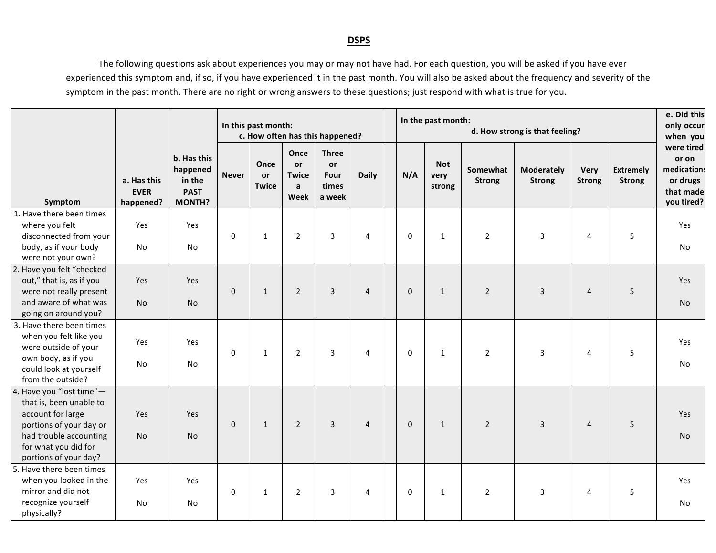## **DSPS**

 The following questions ask about experiences you may or may not have had. For each question, you will be asked if you have ever experienced this symptom and, if so, if you have experienced it in the past month. You will also be asked about the frequency and severity of the symptom in the past month. There are no right or wrong answers to these questions; just respond with what is true for you.

|                                                                                                                                                                                |                                         |                                                                   | In this past month:<br>c. How often has this happened? |                            |                                                    |                                               |                |  | In the past month: |                              | e. Did this<br>only occur<br>when you |                                    |                       |                                   |                                                                           |
|--------------------------------------------------------------------------------------------------------------------------------------------------------------------------------|-----------------------------------------|-------------------------------------------------------------------|--------------------------------------------------------|----------------------------|----------------------------------------------------|-----------------------------------------------|----------------|--|--------------------|------------------------------|---------------------------------------|------------------------------------|-----------------------|-----------------------------------|---------------------------------------------------------------------------|
| Symptom                                                                                                                                                                        | a. Has this<br><b>EVER</b><br>happened? | b. Has this<br>happened<br>in the<br><b>PAST</b><br><b>MONTH?</b> | <b>Never</b>                                           | Once<br>or<br><b>Twice</b> | Once<br>or<br><b>Twice</b><br>$\mathsf{a}$<br>Week | <b>Three</b><br>or<br>Four<br>times<br>a week | <b>Daily</b>   |  | N/A                | <b>Not</b><br>very<br>strong | Somewhat<br><b>Strong</b>             | <b>Moderately</b><br><b>Strong</b> | Very<br><b>Strong</b> | <b>Extremely</b><br><b>Strong</b> | were tired<br>or on<br>medications<br>or drugs<br>that made<br>you tired? |
| 1. Have there been times<br>where you felt<br>disconnected from your<br>body, as if your body<br>were not your own?                                                            | Yes<br>No                               | Yes<br>No                                                         | $\mathbf{0}$                                           | $\mathbf{1}$               | $\overline{2}$                                     | $\overline{3}$                                | $\overline{4}$ |  | $\Omega$           | $\mathbf{1}$                 | $\overline{2}$                        | $\overline{3}$                     | 4                     | 5                                 | Yes<br>No                                                                 |
| 2. Have you felt "checked<br>out," that is, as if you<br>were not really present<br>and aware of what was<br>going on around you?                                              | Yes<br>No                               | Yes<br>No                                                         | $\Omega$                                               | $\mathbf{1}$               | $\overline{2}$                                     | 3                                             | $\overline{4}$ |  | $\mathbf{0}$       | $\mathbf{1}$                 | $\overline{2}$                        | $\overline{3}$                     | $\overline{4}$        | 5                                 | Yes<br>No                                                                 |
| 3. Have there been times<br>when you felt like you<br>were outside of your<br>own body, as if you<br>could look at yourself<br>from the outside?                               | Yes<br>No                               | Yes<br>No                                                         | $\mathsf 0$                                            | $\mathbf{1}$               | $\overline{2}$                                     | $\overline{3}$                                | $\overline{4}$ |  | 0                  | $\mathbf{1}$                 | $\overline{2}$                        | $\overline{3}$                     | 4                     | 5                                 | Yes<br>No                                                                 |
| 4. Have you "lost time"-<br>that is, been unable to<br>account for large<br>portions of your day or<br>had trouble accounting<br>for what you did for<br>portions of your day? | Yes<br><b>No</b>                        | Yes<br><b>No</b>                                                  | 0                                                      | $\mathbf{1}$               | $\overline{2}$                                     | $\overline{3}$                                | $\overline{4}$ |  | $\mathbf 0$        | $\mathbf{1}$                 | $\overline{2}$                        | $\overline{3}$                     | $\overline{4}$        | 5                                 | <b>Yes</b><br><b>No</b>                                                   |
| 5. Have there been times<br>when you looked in the<br>mirror and did not<br>recognize yourself<br>physically?                                                                  | Yes<br>No                               | Yes<br>No                                                         | $\mathbf 0$                                            | $\mathbf{1}$               | $\overline{2}$                                     | 3                                             | 4              |  | $\mathbf 0$        | $\mathbf{1}$                 | $\overline{2}$                        | 3                                  | 4                     | 5                                 | Yes<br>No                                                                 |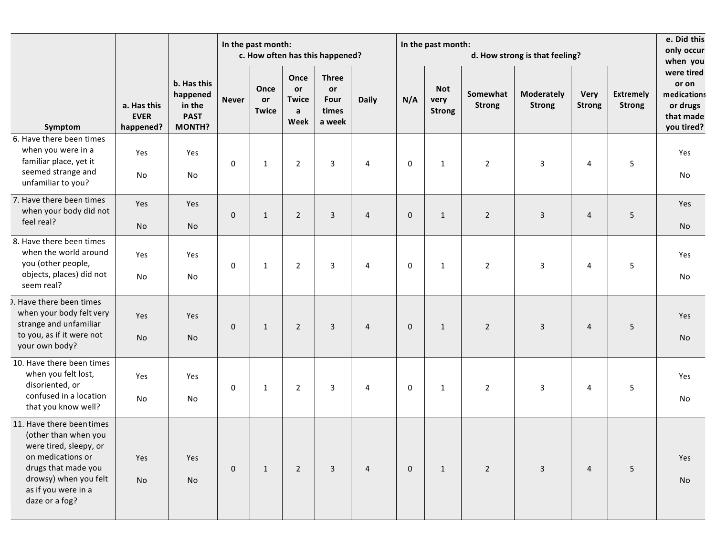|                                                                                                                                                                                           |                                         |                                                                   | In the past month:<br>c. How often has this happened? |                                   |                                                    |                                                      |                |  |             | In the past month:<br>d. How strong is that feeling? |                           |                                    |                       |                                   |                                                                                       |  |
|-------------------------------------------------------------------------------------------------------------------------------------------------------------------------------------------|-----------------------------------------|-------------------------------------------------------------------|-------------------------------------------------------|-----------------------------------|----------------------------------------------------|------------------------------------------------------|----------------|--|-------------|------------------------------------------------------|---------------------------|------------------------------------|-----------------------|-----------------------------------|---------------------------------------------------------------------------------------|--|
| Symptom                                                                                                                                                                                   | a. Has this<br><b>EVER</b><br>happened? | b. Has this<br>happened<br>in the<br><b>PAST</b><br><b>MONTH?</b> | <b>Never</b>                                          | Once<br><b>or</b><br><b>Twice</b> | Once<br>or<br><b>Twice</b><br>$\mathbf{a}$<br>Week | <b>Three</b><br><b>or</b><br>Four<br>times<br>a week | <b>Daily</b>   |  | N/A         | <b>Not</b><br>very<br><b>Strong</b>                  | Somewhat<br><b>Strong</b> | <b>Moderately</b><br><b>Strong</b> | Very<br><b>Strong</b> | <b>Extremely</b><br><b>Strong</b> | when you<br>were tired<br>or on<br>medications<br>or drugs<br>that made<br>you tired? |  |
| 6. Have there been times<br>when you were in a<br>familiar place, yet it<br>seemed strange and<br>unfamiliar to you?                                                                      | Yes<br>No                               | Yes<br>No                                                         | 0                                                     | $\mathbf{1}$                      | $\overline{2}$                                     | 3                                                    | 4              |  | 0           | $\mathbf{1}$                                         | $\overline{2}$            | 3                                  | 4                     | 5                                 | Yes<br>No                                                                             |  |
| 7. Have there been times<br>when your body did not<br>feel real?                                                                                                                          | Yes<br>No                               | Yes<br>No                                                         | $\mathbf{0}$                                          | $\mathbf{1}$                      | $\overline{2}$                                     | 3                                                    | $\overline{4}$ |  | 0           | $\mathbf{1}$                                         | $\overline{2}$            | $\overline{3}$                     | $\overline{4}$        | 5                                 | Yes<br>No                                                                             |  |
| 8. Have there been times<br>when the world around<br>you (other people,<br>objects, places) did not<br>seem real?                                                                         | Yes<br>No                               | Yes<br>No                                                         | 0                                                     | 1                                 | $\overline{2}$                                     | 3                                                    | 4              |  | 0           | $\mathbf{1}$                                         | $\overline{2}$            | 3                                  | 4                     | 5                                 | Yes<br>No                                                                             |  |
| 3. Have there been times<br>when your body felt very<br>strange and unfamiliar<br>to you, as if it were not<br>your own body?                                                             | Yes<br>No                               | Yes<br>No                                                         | $\mathbf{0}$                                          | $\mathbf{1}$                      | $\overline{2}$                                     | $\overline{3}$                                       | 4              |  | $\mathbf 0$ | $\mathbf{1}$                                         | $\overline{2}$            | $\mathbf{3}$                       | $\overline{4}$        | 5                                 | Yes<br>No                                                                             |  |
| 10. Have there been times<br>when you felt lost,<br>disoriented, or<br>confused in a location<br>that you know well?                                                                      | Yes<br>No                               | Yes<br>No                                                         | 0                                                     | $\mathbf{1}$                      | $\overline{2}$                                     | 3                                                    | 4              |  | 0           | $\mathbf{1}$                                         | $\overline{2}$            | $\mathsf 3$                        | 4                     | 5                                 | Yes<br>No                                                                             |  |
| 11. Have there been times<br>(other than when you<br>were tired, sleepy, or<br>on medications or<br>drugs that made you<br>drowsy) when you felt<br>as if you were in a<br>daze or a fog? | Yes<br>No                               | Yes<br>No                                                         | $\mathbf 0$                                           | $\mathbf{1}$                      | $2^{\circ}$                                        | $\mathbf{3}$                                         | $\overline{4}$ |  | $\mathbf 0$ | $\mathbf{1}$                                         | $\overline{2}$            | $\overline{3}$                     | $\overline{4}$        | 5                                 | Yes<br>No                                                                             |  |